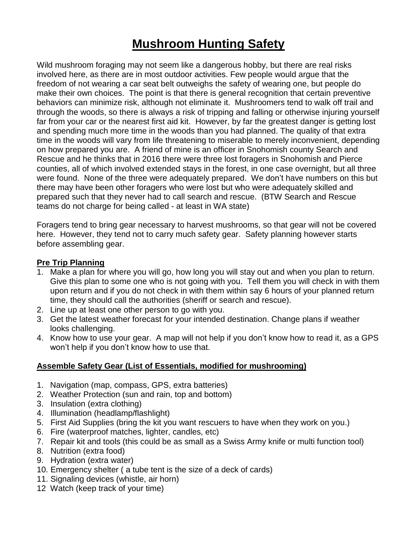# **Mushroom Hunting Safety**

Wild mushroom foraging may not seem like a dangerous hobby, but there are real risks involved here, as there are in most outdoor activities. Few people would argue that the freedom of not wearing a car seat belt outweighs the safety of wearing one, but people do make their own choices. The point is that there is general recognition that certain preventive behaviors can minimize risk, although not eliminate it. Mushroomers tend to walk off trail and through the woods, so there is always a risk of tripping and falling or otherwise injuring yourself far from your car or the nearest first aid kit. However, by far the greatest danger is getting lost and spending much more time in the woods than you had planned. The quality of that extra time in the woods will vary from life threatening to miserable to merely inconvenient, depending on how prepared you are. A friend of mine is an officer in Snohomish county Search and Rescue and he thinks that in 2016 there were three lost foragers in Snohomish and Pierce counties, all of which involved extended stays in the forest, in one case overnight, but all three were found. None of the three were adequately prepared. We don't have numbers on this but there may have been other foragers who were lost but who were adequately skilled and prepared such that they never had to call search and rescue. (BTW Search and Rescue teams do not charge for being called - at least in WA state)

Foragers tend to bring gear necessary to harvest mushrooms, so that gear will not be covered here. However, they tend not to carry much safety gear. Safety planning however starts before assembling gear.

### **Pre Trip Planning**

- 1. Make a plan for where you will go, how long you will stay out and when you plan to return. Give this plan to some one who is not going with you. Tell them you will check in with them upon return and if you do not check in with them within say 6 hours of your planned return time, they should call the authorities (sheriff or search and rescue).
- 2. Line up at least one other person to go with you.
- 3. Get the latest weather forecast for your intended destination. Change plans if weather looks challenging.
- 4. Know how to use your gear. A map will not help if you don't know how to read it, as a GPS won't help if you don't know how to use that.

#### **Assemble Safety Gear (List of Essentials, modified for mushrooming)**

- 1. Navigation (map, compass, GPS, extra batteries)
- 2. Weather Protection (sun and rain, top and bottom)
- 3. Insulation (extra clothing)
- 4. Illumination (headlamp/flashlight)
- 5. First Aid Supplies (bring the kit you want rescuers to have when they work on you.)
- 6. Fire (waterproof matches, lighter, candles, etc)
- 7. Repair kit and tools (this could be as small as a Swiss Army knife or multi function tool)
- 8. Nutrition (extra food)
- 9. Hydration (extra water)
- 10. Emergency shelter ( a tube tent is the size of a deck of cards)
- 11. Signaling devices (whistle, air horn)
- 12 Watch (keep track of your time)